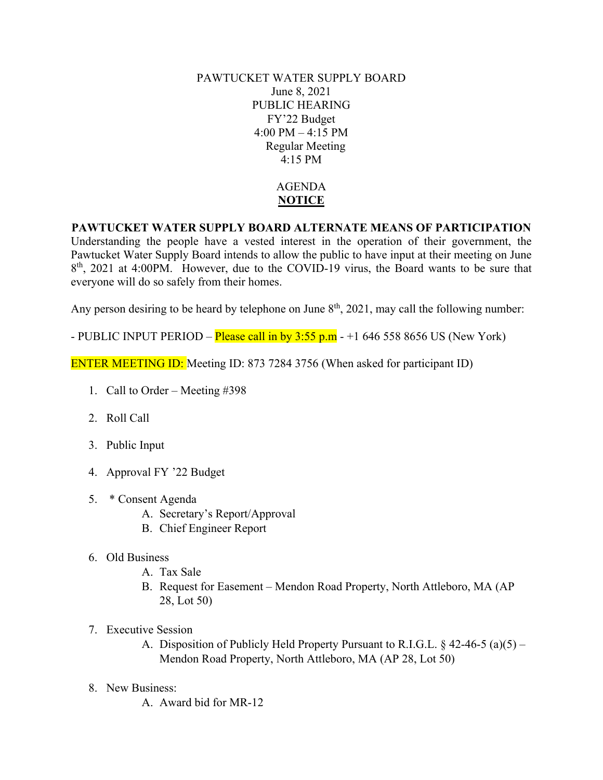PAWTUCKET WATER SUPPLY BOARD June 8, 2021 PUBLIC HEARING FY'22 Budget 4:00 PM – 4:15 PM Regular Meeting 4:15 PM

## AGENDA **NOTICE**

## **PAWTUCKET WATER SUPPLY BOARD ALTERNATE MEANS OF PARTICIPATION**

Understanding the people have a vested interest in the operation of their government, the Pawtucket Water Supply Board intends to allow the public to have input at their meeting on June 8<sup>th</sup>, 2021 at 4:00PM. However, due to the COVID-19 virus, the Board wants to be sure that everyone will do so safely from their homes.

Any person desiring to be heard by telephone on June  $8<sup>th</sup>$ , 2021, may call the following number:

- PUBLIC INPUT PERIOD – **Please call in by 3:55 p.m**  $-+1$  646 558 8656 US (New York)

ENTER MEETING ID: Meeting ID: 873 7284 3756 (When asked for participant ID)

- 1. Call to Order Meeting #398
- 2. Roll Call
- 3. Public Input
- 4. Approval FY '22 Budget
- 5. \* Consent Agenda
	- A. Secretary's Report/Approval
	- B. Chief Engineer Report
- 6. Old Business
	- A. Tax Sale
	- B. Request for Easement Mendon Road Property, North Attleboro, MA (AP 28, Lot 50)
- 7. Executive Session
	- A. Disposition of Publicly Held Property Pursuant to R.I.G.L. § 42-46-5 (a)(5) Mendon Road Property, North Attleboro, MA (AP 28, Lot 50)
- 8. New Business:
	- A. Award bid for MR-12